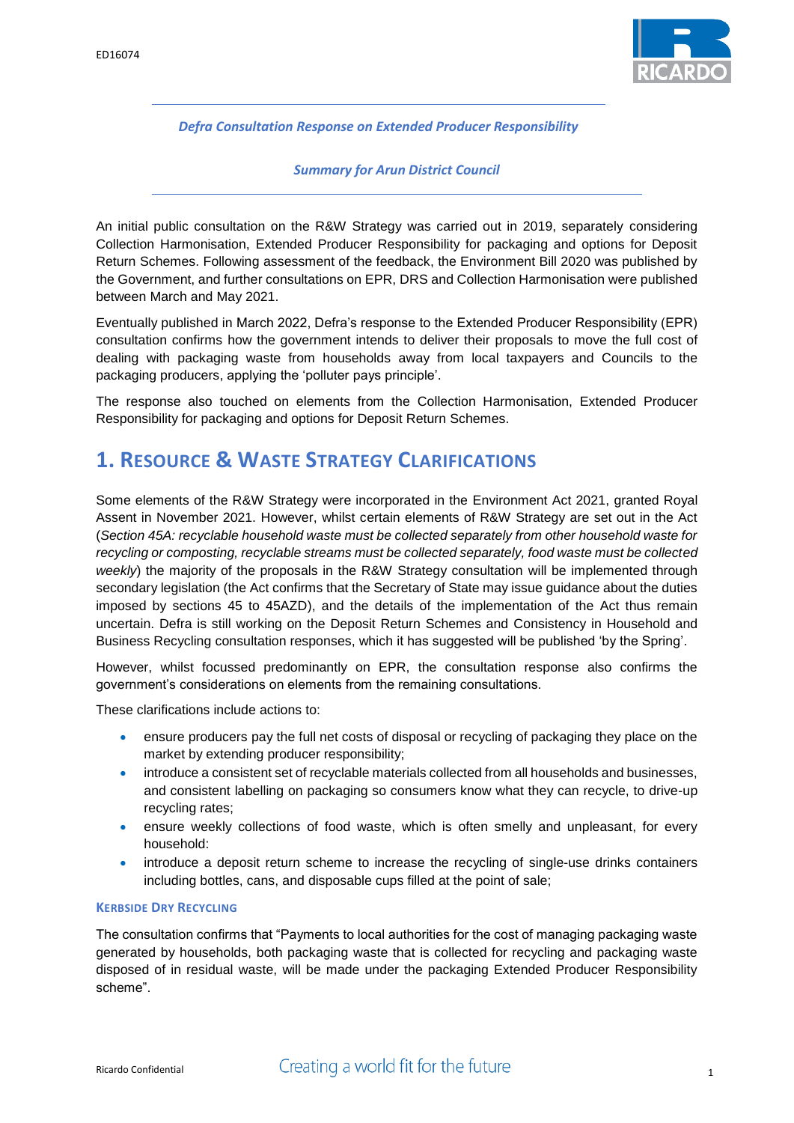

*Defra Consultation Response on Extended Producer Responsibility*

*Summary for Arun District Council*

An initial public consultation on the R&W Strategy was carried out in 2019, separately considering Collection Harmonisation, Extended Producer Responsibility for packaging and options for Deposit Return Schemes. Following assessment of the feedback, the Environment Bill 2020 was published by the Government, and further consultations on EPR, DRS and Collection Harmonisation were published between March and May 2021.

Eventually published in March 2022, Defra's response to the Extended Producer Responsibility (EPR) consultation confirms how the government intends to deliver their proposals to move the full cost of dealing with packaging waste from households away from local taxpayers and Councils to the packaging producers, applying the 'polluter pays principle'.

The response also touched on elements from the Collection Harmonisation, Extended Producer Responsibility for packaging and options for Deposit Return Schemes.

### **1. RESOURCE & WASTE STRATEGY CLARIFICATIONS**

Some elements of the R&W Strategy were incorporated in the Environment Act 2021, granted Royal Assent in November 2021. However, whilst certain elements of R&W Strategy are set out in the Act (*Section 45A: recyclable household waste must be collected separately from other household waste for recycling or composting, recyclable streams must be collected separately, food waste must be collected weekly*) the majority of the proposals in the R&W Strategy consultation will be implemented through secondary legislation (the Act confirms that the Secretary of State may issue guidance about the duties imposed by sections 45 to 45AZD), and the details of the implementation of the Act thus remain uncertain. Defra is still working on the Deposit Return Schemes and Consistency in Household and Business Recycling consultation responses, which it has suggested will be published 'by the Spring'.

However, whilst focussed predominantly on EPR, the consultation response also confirms the government's considerations on elements from the remaining consultations.

These clarifications include actions to:

- ensure producers pay the full net costs of disposal or recycling of packaging they place on the market by extending producer responsibility;
- introduce a consistent set of recyclable materials collected from all households and businesses, and consistent labelling on packaging so consumers know what they can recycle, to drive-up recycling rates;
- ensure weekly collections of food waste, which is often smelly and unpleasant, for every household:
- introduce a deposit return scheme to increase the recycling of single-use drinks containers including bottles, cans, and disposable cups filled at the point of sale;

### **KERBSIDE DRY RECYCLING**

The consultation confirms that "Payments to local authorities for the cost of managing packaging waste generated by households, both packaging waste that is collected for recycling and packaging waste disposed of in residual waste, will be made under the packaging Extended Producer Responsibility scheme".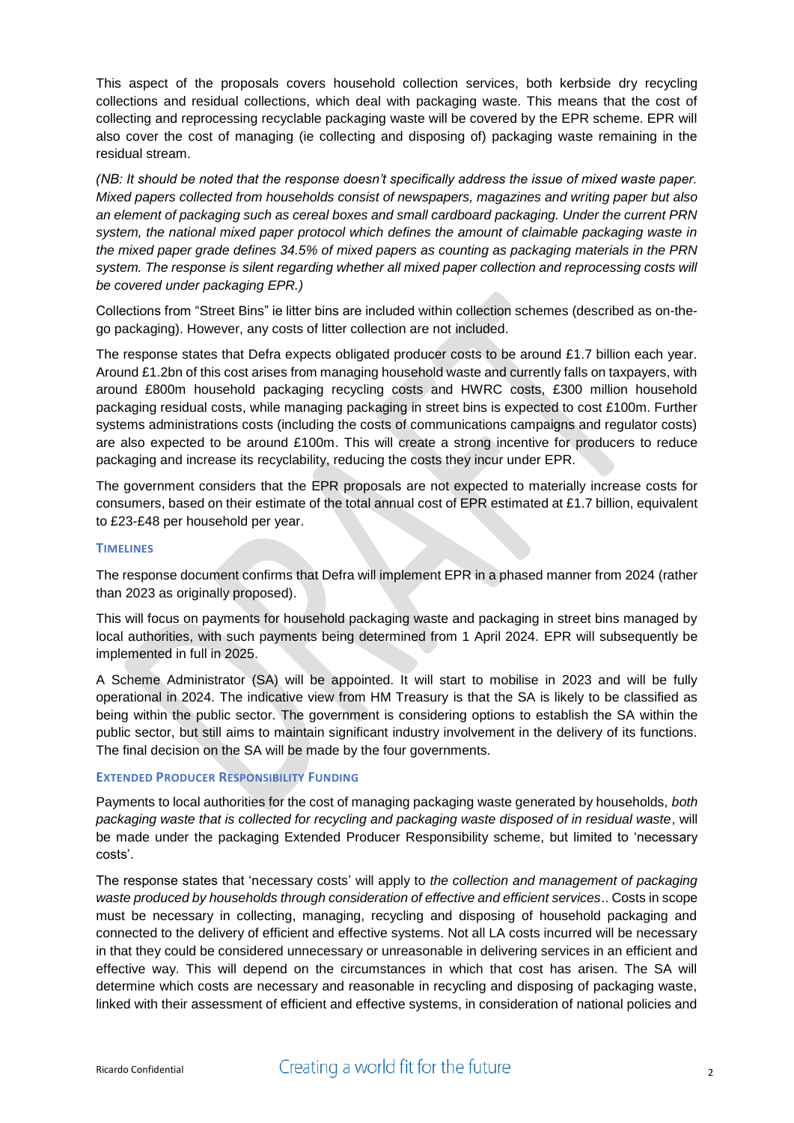This aspect of the proposals covers household collection services, both kerbside dry recycling collections and residual collections, which deal with packaging waste. This means that the cost of collecting and reprocessing recyclable packaging waste will be covered by the EPR scheme. EPR will also cover the cost of managing (ie collecting and disposing of) packaging waste remaining in the residual stream.

*(NB: It should be noted that the response doesn't specifically address the issue of mixed waste paper. Mixed papers collected from households consist of newspapers, magazines and writing paper but also an element of packaging such as cereal boxes and small cardboard packaging. Under the current PRN system, the national mixed paper protocol which defines the amount of claimable packaging waste in the mixed paper grade defines 34.5% of mixed papers as counting as packaging materials in the PRN system. The response is silent regarding whether all mixed paper collection and reprocessing costs will be covered under packaging EPR.)*

Collections from "Street Bins" ie litter bins are included within collection schemes (described as on-thego packaging). However, any costs of litter collection are not included.

The response states that Defra expects obligated producer costs to be around £1.7 billion each year. Around £1.2bn of this cost arises from managing household waste and currently falls on taxpayers, with around £800m household packaging recycling costs and HWRC costs, £300 million household packaging residual costs, while managing packaging in street bins is expected to cost £100m. Further systems administrations costs (including the costs of communications campaigns and regulator costs) are also expected to be around £100m. This will create a strong incentive for producers to reduce packaging and increase its recyclability, reducing the costs they incur under EPR.

The government considers that the EPR proposals are not expected to materially increase costs for consumers, based on their estimate of the total annual cost of EPR estimated at £1.7 billion, equivalent to £23-£48 per household per year.

### **TIMELINES**

The response document confirms that Defra will implement EPR in a phased manner from 2024 (rather than 2023 as originally proposed).

This will focus on payments for household packaging waste and packaging in street bins managed by local authorities, with such payments being determined from 1 April 2024. EPR will subsequently be implemented in full in 2025.

A Scheme Administrator (SA) will be appointed. It will start to mobilise in 2023 and will be fully operational in 2024. The indicative view from HM Treasury is that the SA is likely to be classified as being within the public sector. The government is considering options to establish the SA within the public sector, but still aims to maintain significant industry involvement in the delivery of its functions. The final decision on the SA will be made by the four governments.

### **EXTENDED PRODUCER RESPONSIBILITY FUNDING**

Payments to local authorities for the cost of managing packaging waste generated by households, *both packaging waste that is collected for recycling and packaging waste disposed of in residual waste*, will be made under the packaging Extended Producer Responsibility scheme, but limited to 'necessary costs'.

The response states that 'necessary costs' will apply to *the collection and management of packaging waste produced by households through consideration of effective and efficient services*.. Costs in scope must be necessary in collecting, managing, recycling and disposing of household packaging and connected to the delivery of efficient and effective systems. Not all LA costs incurred will be necessary in that they could be considered unnecessary or unreasonable in delivering services in an efficient and effective way. This will depend on the circumstances in which that cost has arisen. The SA will determine which costs are necessary and reasonable in recycling and disposing of packaging waste, linked with their assessment of efficient and effective systems, in consideration of national policies and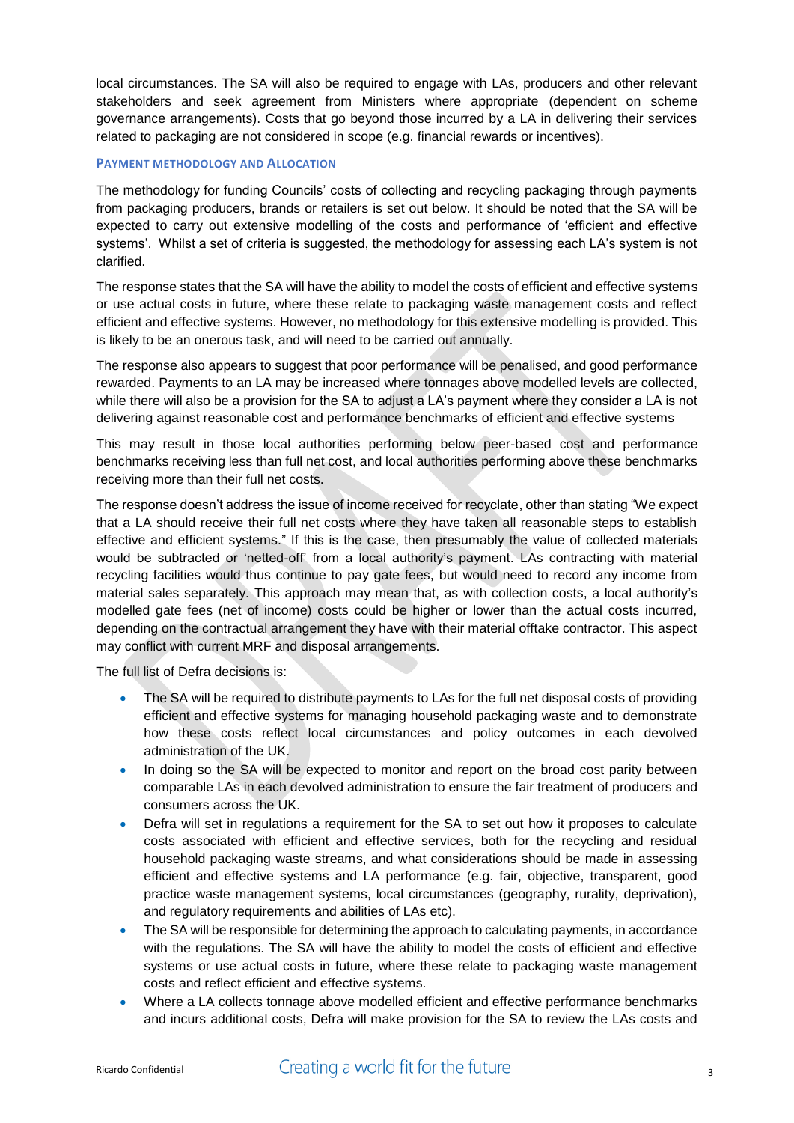local circumstances. The SA will also be required to engage with LAs, producers and other relevant stakeholders and seek agreement from Ministers where appropriate (dependent on scheme governance arrangements). Costs that go beyond those incurred by a LA in delivering their services related to packaging are not considered in scope (e.g. financial rewards or incentives).

### **PAYMENT METHODOLOGY AND ALLOCATION**

The methodology for funding Councils' costs of collecting and recycling packaging through payments from packaging producers, brands or retailers is set out below. It should be noted that the SA will be expected to carry out extensive modelling of the costs and performance of 'efficient and effective systems'. Whilst a set of criteria is suggested, the methodology for assessing each LA's system is not clarified.

The response states that the SA will have the ability to model the costs of efficient and effective systems or use actual costs in future, where these relate to packaging waste management costs and reflect efficient and effective systems. However, no methodology for this extensive modelling is provided. This is likely to be an onerous task, and will need to be carried out annually.

The response also appears to suggest that poor performance will be penalised, and good performance rewarded. Payments to an LA may be increased where tonnages above modelled levels are collected, while there will also be a provision for the SA to adjust a LA's payment where they consider a LA is not delivering against reasonable cost and performance benchmarks of efficient and effective systems

This may result in those local authorities performing below peer-based cost and performance benchmarks receiving less than full net cost, and local authorities performing above these benchmarks receiving more than their full net costs.

The response doesn't address the issue of income received for recyclate, other than stating "We expect that a LA should receive their full net costs where they have taken all reasonable steps to establish effective and efficient systems." If this is the case, then presumably the value of collected materials would be subtracted or 'netted-off' from a local authority's payment. LAs contracting with material recycling facilities would thus continue to pay gate fees, but would need to record any income from material sales separately. This approach may mean that, as with collection costs, a local authority's modelled gate fees (net of income) costs could be higher or lower than the actual costs incurred, depending on the contractual arrangement they have with their material offtake contractor. This aspect may conflict with current MRF and disposal arrangements.

The full list of Defra decisions is:

- The SA will be required to distribute payments to LAs for the full net disposal costs of providing efficient and effective systems for managing household packaging waste and to demonstrate how these costs reflect local circumstances and policy outcomes in each devolved administration of the UK.
- In doing so the SA will be expected to monitor and report on the broad cost parity between comparable LAs in each devolved administration to ensure the fair treatment of producers and consumers across the UK.
- Defra will set in regulations a requirement for the SA to set out how it proposes to calculate costs associated with efficient and effective services, both for the recycling and residual household packaging waste streams, and what considerations should be made in assessing efficient and effective systems and LA performance (e.g. fair, objective, transparent, good practice waste management systems, local circumstances (geography, rurality, deprivation), and regulatory requirements and abilities of LAs etc).
- The SA will be responsible for determining the approach to calculating payments, in accordance with the regulations. The SA will have the ability to model the costs of efficient and effective systems or use actual costs in future, where these relate to packaging waste management costs and reflect efficient and effective systems.
- Where a LA collects tonnage above modelled efficient and effective performance benchmarks and incurs additional costs, Defra will make provision for the SA to review the LAs costs and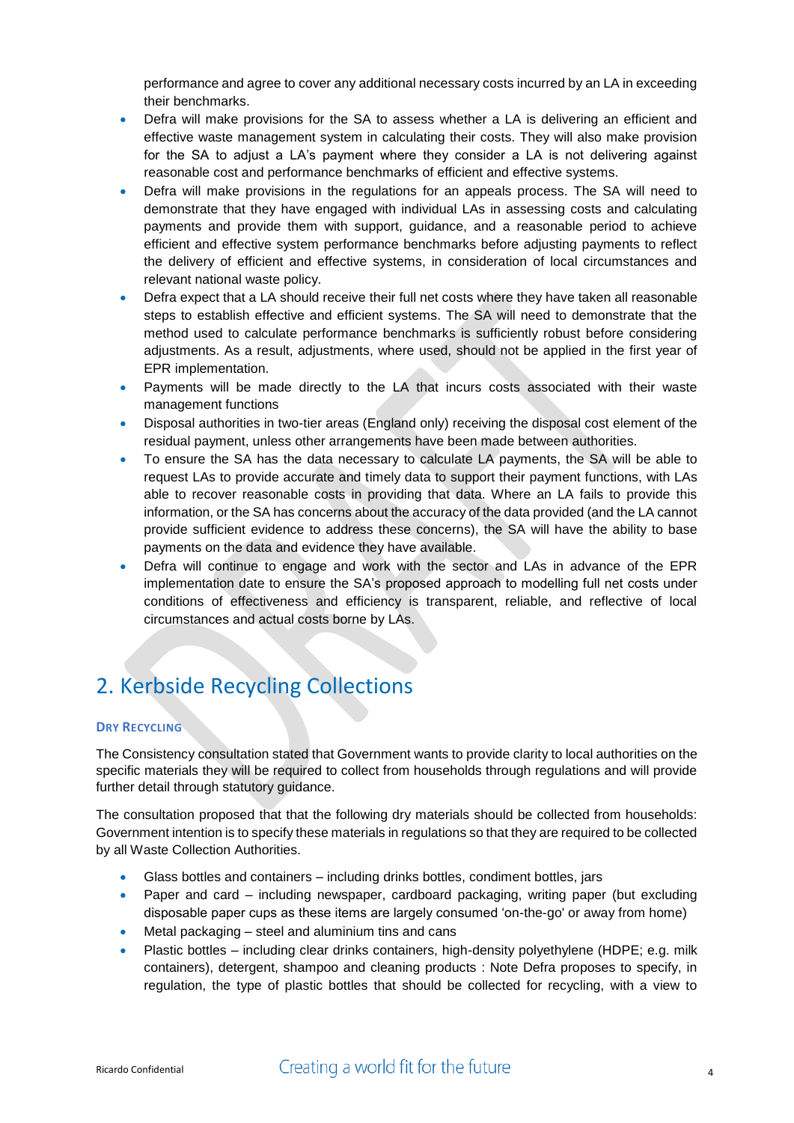performance and agree to cover any additional necessary costs incurred by an LA in exceeding their benchmarks.

- Defra will make provisions for the SA to assess whether a LA is delivering an efficient and effective waste management system in calculating their costs. They will also make provision for the SA to adjust a LA's payment where they consider a LA is not delivering against reasonable cost and performance benchmarks of efficient and effective systems.
- Defra will make provisions in the regulations for an appeals process. The SA will need to demonstrate that they have engaged with individual LAs in assessing costs and calculating payments and provide them with support, guidance, and a reasonable period to achieve efficient and effective system performance benchmarks before adjusting payments to reflect the delivery of efficient and effective systems, in consideration of local circumstances and relevant national waste policy.
- Defra expect that a LA should receive their full net costs where they have taken all reasonable steps to establish effective and efficient systems. The SA will need to demonstrate that the method used to calculate performance benchmarks is sufficiently robust before considering adjustments. As a result, adjustments, where used, should not be applied in the first year of EPR implementation.
- Payments will be made directly to the LA that incurs costs associated with their waste management functions
- Disposal authorities in two-tier areas (England only) receiving the disposal cost element of the residual payment, unless other arrangements have been made between authorities.
- To ensure the SA has the data necessary to calculate LA payments, the SA will be able to request LAs to provide accurate and timely data to support their payment functions, with LAs able to recover reasonable costs in providing that data. Where an LA fails to provide this information, or the SA has concerns about the accuracy of the data provided (and the LA cannot provide sufficient evidence to address these concerns), the SA will have the ability to base payments on the data and evidence they have available.
- Defra will continue to engage and work with the sector and LAs in advance of the EPR implementation date to ensure the SA's proposed approach to modelling full net costs under conditions of effectiveness and efficiency is transparent, reliable, and reflective of local circumstances and actual costs borne by LAs.

## 2. Kerbside Recycling Collections

### **DRY RECYCLING**

The Consistency consultation stated that Government wants to provide clarity to local authorities on the specific materials they will be required to collect from households through regulations and will provide further detail through statutory guidance.

The consultation proposed that that the following dry materials should be collected from households: Government intention is to specify these materials in regulations so that they are required to be collected by all Waste Collection Authorities.

- Glass bottles and containers including drinks bottles, condiment bottles, jars
- Paper and card including newspaper, cardboard packaging, writing paper (but excluding disposable paper cups as these items are largely consumed 'on-the-go' or away from home)
- Metal packaging steel and aluminium tins and cans
- Plastic bottles including clear drinks containers, high-density polyethylene (HDPE; e.g. milk containers), detergent, shampoo and cleaning products : Note Defra proposes to specify, in regulation, the type of plastic bottles that should be collected for recycling, with a view to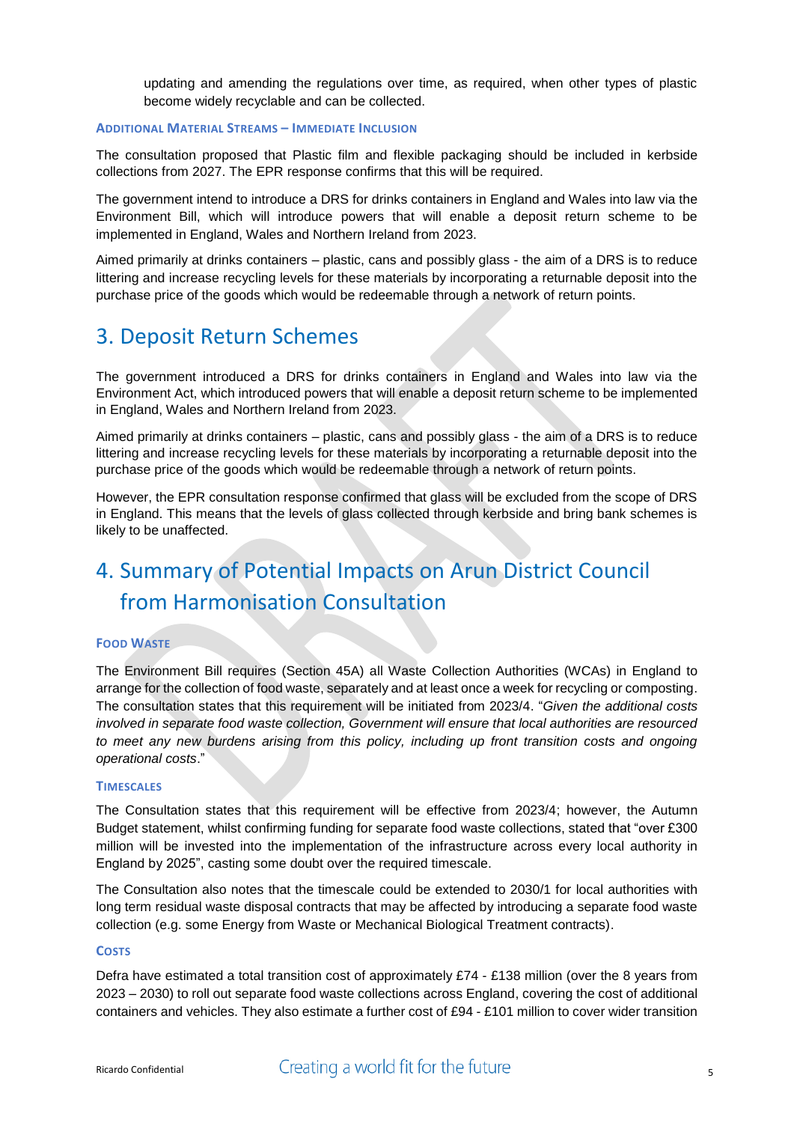updating and amending the regulations over time, as required, when other types of plastic become widely recyclable and can be collected.

### **ADDITIONAL MATERIAL STREAMS – IMMEDIATE INCLUSION**

The consultation proposed that Plastic film and flexible packaging should be included in kerbside collections from 2027. The EPR response confirms that this will be required.

The government intend to introduce a DRS for drinks containers in England and Wales into law via the Environment Bill, which will introduce powers that will enable a deposit return scheme to be implemented in England, Wales and Northern Ireland from 2023.

Aimed primarily at drinks containers – plastic, cans and possibly glass - the aim of a DRS is to reduce littering and increase recycling levels for these materials by incorporating a returnable deposit into the purchase price of the goods which would be redeemable through a network of return points.

### 3. Deposit Return Schemes

The government introduced a DRS for drinks containers in England and Wales into law via the Environment Act, which introduced powers that will enable a deposit return scheme to be implemented in England, Wales and Northern Ireland from 2023.

Aimed primarily at drinks containers – plastic, cans and possibly glass - the aim of a DRS is to reduce littering and increase recycling levels for these materials by incorporating a returnable deposit into the purchase price of the goods which would be redeemable through a network of return points.

However, the EPR consultation response confirmed that glass will be excluded from the scope of DRS in England. This means that the levels of glass collected through kerbside and bring bank schemes is likely to be unaffected.

# 4. Summary of Potential Impacts on Arun District Council from Harmonisation Consultation

### **FOOD WASTE**

The Environment Bill requires (Section 45A) all Waste Collection Authorities (WCAs) in England to arrange for the collection of food waste, separately and at least once a week for recycling or composting. The consultation states that this requirement will be initiated from 2023/4. "*Given the additional costs involved in separate food waste collection, Government will ensure that local authorities are resourced*  to meet any new burdens arising from this policy, including up front transition costs and ongoing *operational costs*."

#### **TIMESCALES**

The Consultation states that this requirement will be effective from 2023/4; however, the Autumn Budget statement, whilst confirming funding for separate food waste collections, stated that "over £300 million will be invested into the implementation of the infrastructure across every local authority in England by 2025", casting some doubt over the required timescale.

The Consultation also notes that the timescale could be extended to 2030/1 for local authorities with long term residual waste disposal contracts that may be affected by introducing a separate food waste collection (e.g. some Energy from Waste or Mechanical Biological Treatment contracts).

#### **COSTS**

Defra have estimated a total transition cost of approximately £74 - £138 million (over the 8 years from 2023 – 2030) to roll out separate food waste collections across England, covering the cost of additional containers and vehicles. They also estimate a further cost of £94 - £101 million to cover wider transition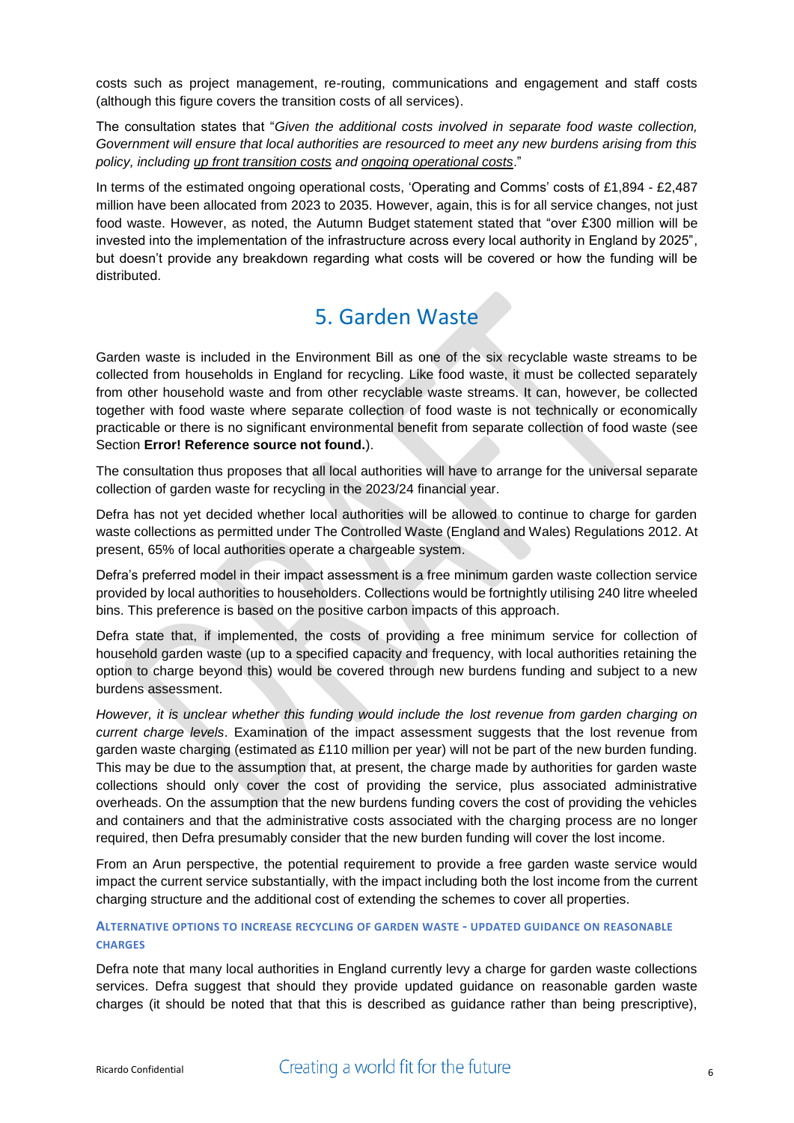costs such as project management, re-routing, communications and engagement and staff costs (although this figure covers the transition costs of all services).

The consultation states that "*Given the additional costs involved in separate food waste collection, Government will ensure that local authorities are resourced to meet any new burdens arising from this policy, including up front transition costs and ongoing operational costs*."

In terms of the estimated ongoing operational costs, 'Operating and Comms' costs of £1,894 - £2,487 million have been allocated from 2023 to 2035. However, again, this is for all service changes, not just food waste. However, as noted, the Autumn Budget statement stated that "over £300 million will be invested into the implementation of the infrastructure across every local authority in England by 2025", but doesn't provide any breakdown regarding what costs will be covered or how the funding will be distributed.

## 5. Garden Waste

Garden waste is included in the Environment Bill as one of the six recyclable waste streams to be collected from households in England for recycling. Like food waste, it must be collected separately from other household waste and from other recyclable waste streams. It can, however, be collected together with food waste where separate collection of food waste is not technically or economically practicable or there is no significant environmental benefit from separate collection of food waste (see Section **Error! Reference source not found.**).

The consultation thus proposes that all local authorities will have to arrange for the universal separate collection of garden waste for recycling in the 2023/24 financial year.

Defra has not yet decided whether local authorities will be allowed to continue to charge for garden waste collections as permitted under The Controlled Waste (England and Wales) Regulations 2012. At present, 65% of local authorities operate a chargeable system.

Defra's preferred model in their impact assessment is a free minimum garden waste collection service provided by local authorities to householders. Collections would be fortnightly utilising 240 litre wheeled bins. This preference is based on the positive carbon impacts of this approach.

Defra state that, if implemented, the costs of providing a free minimum service for collection of household garden waste (up to a specified capacity and frequency, with local authorities retaining the option to charge beyond this) would be covered through new burdens funding and subject to a new burdens assessment.

*However, it is unclear whether this funding would include the lost revenue from garden charging on current charge levels*. Examination of the impact assessment suggests that the lost revenue from garden waste charging (estimated as £110 million per year) will not be part of the new burden funding. This may be due to the assumption that, at present, the charge made by authorities for garden waste collections should only cover the cost of providing the service, plus associated administrative overheads. On the assumption that the new burdens funding covers the cost of providing the vehicles and containers and that the administrative costs associated with the charging process are no longer required, then Defra presumably consider that the new burden funding will cover the lost income.

From an Arun perspective, the potential requirement to provide a free garden waste service would impact the current service substantially, with the impact including both the lost income from the current charging structure and the additional cost of extending the schemes to cover all properties.

### **ALTERNATIVE OPTIONS TO INCREASE RECYCLING OF GARDEN WASTE - UPDATED GUIDANCE ON REASONABLE CHARGES**

Defra note that many local authorities in England currently levy a charge for garden waste collections services. Defra suggest that should they provide updated guidance on reasonable garden waste charges (it should be noted that that this is described as guidance rather than being prescriptive),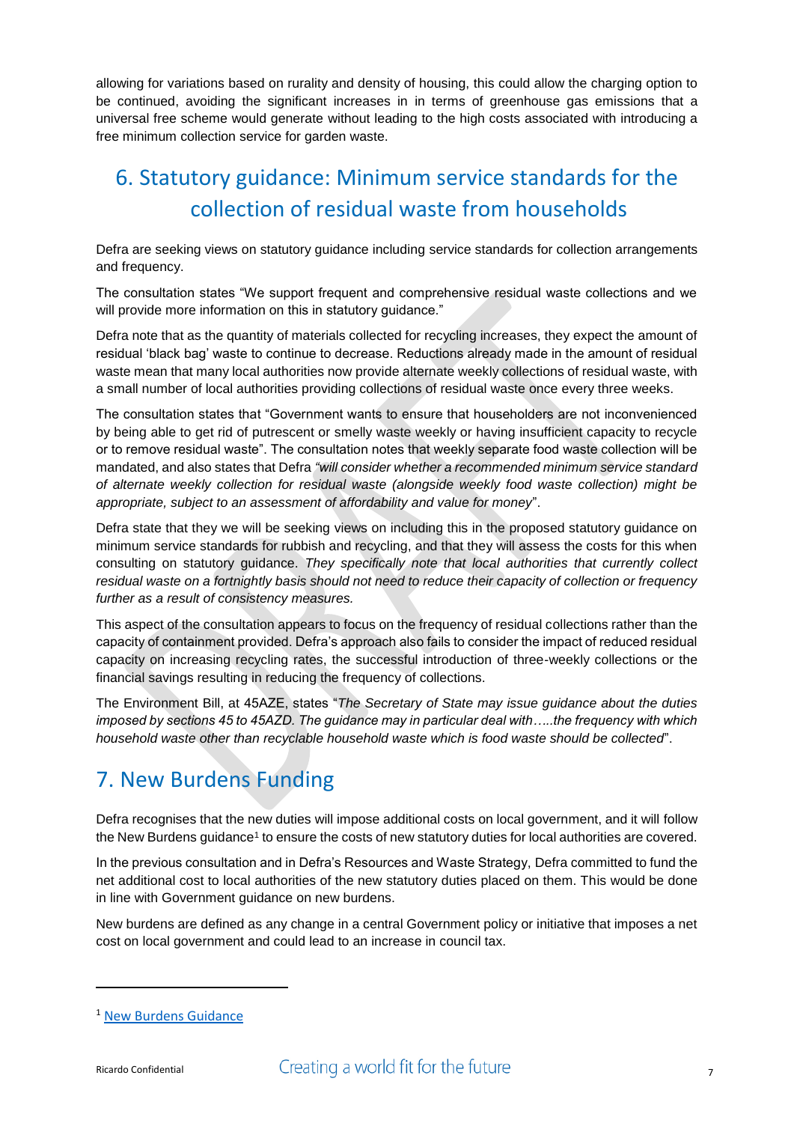allowing for variations based on rurality and density of housing, this could allow the charging option to be continued, avoiding the significant increases in in terms of greenhouse gas emissions that a universal free scheme would generate without leading to the high costs associated with introducing a free minimum collection service for garden waste.

# 6. Statutory guidance: Minimum service standards for the collection of residual waste from households

Defra are seeking views on statutory guidance including service standards for collection arrangements and frequency.

The consultation states "We support frequent and comprehensive residual waste collections and we will provide more information on this in statutory quidance."

Defra note that as the quantity of materials collected for recycling increases, they expect the amount of residual 'black bag' waste to continue to decrease. Reductions already made in the amount of residual waste mean that many local authorities now provide alternate weekly collections of residual waste, with a small number of local authorities providing collections of residual waste once every three weeks.

The consultation states that "Government wants to ensure that householders are not inconvenienced by being able to get rid of putrescent or smelly waste weekly or having insufficient capacity to recycle or to remove residual waste". The consultation notes that weekly separate food waste collection will be mandated, and also states that Defra *"will consider whether a recommended minimum service standard of alternate weekly collection for residual waste (alongside weekly food waste collection) might be appropriate, subject to an assessment of affordability and value for money*".

Defra state that they we will be seeking views on including this in the proposed statutory guidance on minimum service standards for rubbish and recycling, and that they will assess the costs for this when consulting on statutory guidance. *They specifically note that local authorities that currently collect residual waste on a fortnightly basis should not need to reduce their capacity of collection or frequency further as a result of consistency measures.*

This aspect of the consultation appears to focus on the frequency of residual collections rather than the capacity of containment provided. Defra's approach also fails to consider the impact of reduced residual capacity on increasing recycling rates, the successful introduction of three-weekly collections or the financial savings resulting in reducing the frequency of collections.

The Environment Bill, at 45AZE, states "*The Secretary of State may issue guidance about the duties imposed by sections 45 to 45AZD. The guidance may in particular deal with…..the frequency with which household waste other than recyclable household waste which is food waste should be collected*".

## 7. New Burdens Funding

Defra recognises that the new duties will impose additional costs on local government, and it will follow the New Burdens guidance<sup>1</sup> to ensure the costs of new statutory duties for local authorities are covered.

In the previous consultation and in Defra's Resources and Waste Strategy, Defra committed to fund the net additional cost to local authorities of the new statutory duties placed on them. This would be done in line with Government guidance on new burdens.

New burdens are defined as any change in a central Government policy or initiative that imposes a net cost on local government and could lead to an increase in council tax.

**.** 

<sup>1</sup> [New Burdens Guidance](https://assets.publishing.service.gov.uk/government/uploads/system/uploads/attachment_data/file/5960/1926282.pdf)